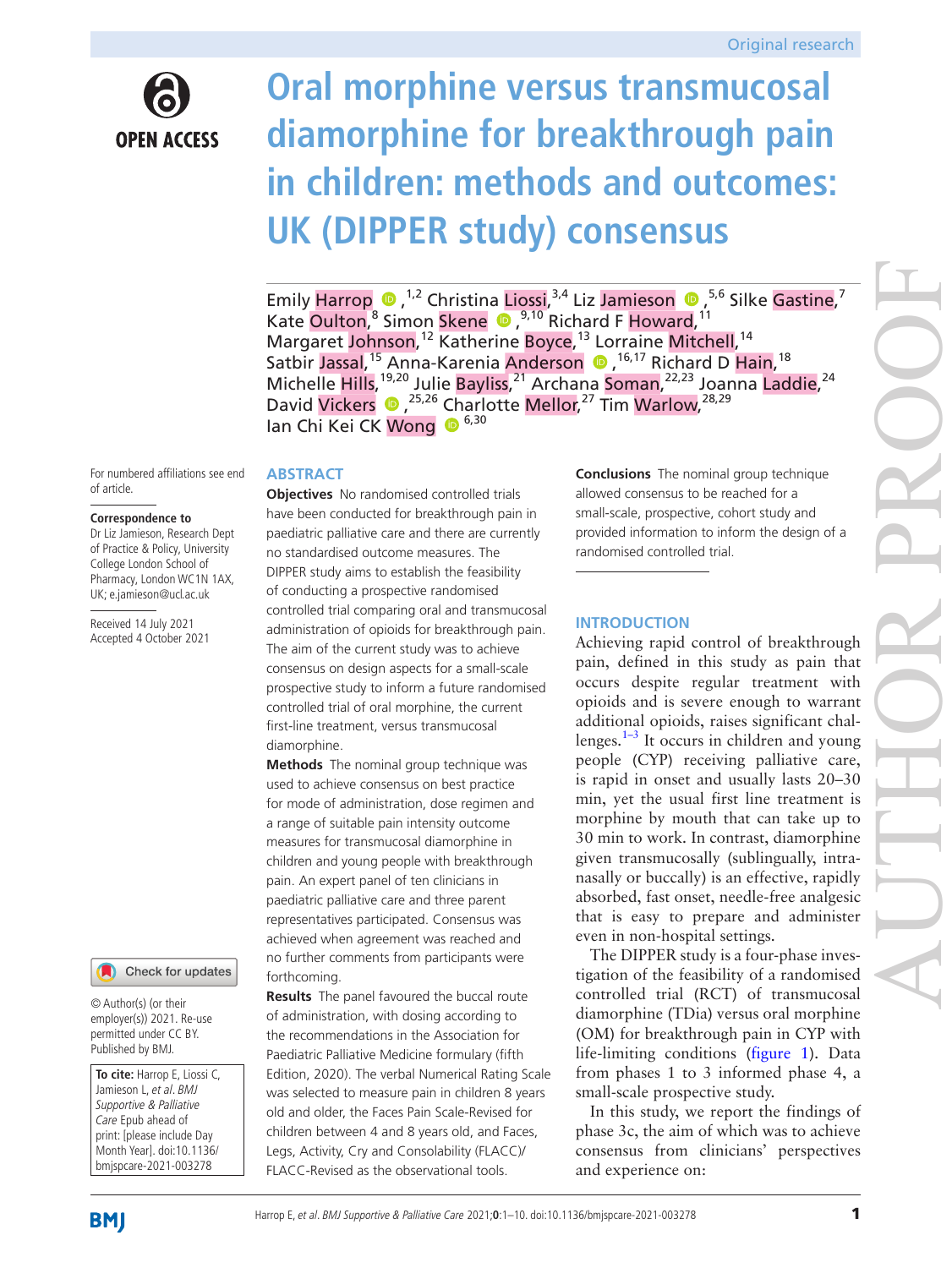

# **Oral morphine versus transmucosal diamorphine for breakthrough pain in children: methods and outcomes: UK (DIPPER study) consensus**

EmilyHarrop  $\bullet$ , <sup>1,2</sup> Christina Liossi, <sup>3,4</sup> Liz Jamieson  $\bullet$ , <sup>5,6</sup> Silke Gastine,<sup>7</sup> KateOulton,<sup>8</sup> Simon Skene <sup>1, 9,10</sup> Richard F Howard,<sup>11</sup> Margaret Johnson,<sup>12</sup> Katherine Boyce,<sup>13</sup> Lorraine Mitchell,<sup>14</sup> Satbir Jassal,<sup>15</sup> Anna-Karenia Anderson (D, <sup>16,17</sup> Richard D Hain, <sup>18</sup> Michelle Hills,<sup>19,20</sup> Julie Bayliss,<sup>21</sup> Archana Soman,<sup>22,23</sup> Joanna Laddie,<sup>24</sup> DavidVickers <sup>1</sup>,<sup>25,26</sup> Charlotte Mellor,<sup>27</sup> Tim Warlow,<sup>28,29</sup> Ian Chi Kei CK Wong <sup>6,30</sup>

For numbered affiliations see end of article.

#### **Correspondence to**

Dr Liz Jamieson, Research Dept of Practice & Policy, University College London School of Pharmacy, London WC1N 1AX, UK; e.jamieson@ucl.ac.uk

Received 14 July 2021 Accepted 4 October 2021

## Check for updates

© Author(s) (or their employer(s)) 2021. Re-use permitted under CC BY. Published by BMJ.

**To cite:** Harrop E, Liossi C, Jamieson L, et al. BMJ Supportive & Palliative Care Epub ahead of print: [please include Day Month Year]. doi:10.1136/ bmjspcare-2021-003278

## **ABSTRACT**

**Objectives** No randomised controlled trials have been conducted for breakthrough pain in paediatric palliative care and there are currently no standardised outcome measures. The DIPPER study aims to establish the feasibility of conducting a prospective randomised controlled trial comparing oral and transmucosal administration of opioids for breakthrough pain. The aim of the current study was to achieve consensus on design aspects for a small-scale prospective study to inform a future randomised controlled trial of oral morphine, the current first-line treatment, versus transmucosal diamorphine.

**Methods** The nominal group technique was used to achieve consensus on best practice for mode of administration, dose regimen and a range of suitable pain intensity outcome measures for transmucosal diamorphine in children and young people with breakthrough pain. An expert panel of ten clinicians in paediatric palliative care and three parent representatives participated. Consensus was achieved when agreement was reached and no further comments from participants were forthcoming.

**Results** The panel favoured the buccal route of administration, with dosing according to the recommendations in the Association for Paediatric Palliative Medicine formulary (fifth Edition, 2020). The verbal Numerical Rating Scale was selected to measure pain in children 8 years old and older, the Faces Pain Scale-Revised for children between 4 and 8 years old, and Faces, Legs, Activity, Cry and Consolability (FLACC)/ FLACC-Revised as the observational tools.

**Conclusions** The nominal group technique allowed consensus to be reached for a small-scale, prospective, cohort study and provided information to inform the design of a randomised controlled trial.

## **INTRODUCTION**

Achieving rapid control of breakthrough pain, defined in this study as pain that occurs despite regular treatment with opioids and is severe enough to warrant additional opioids, raises significant challenges. $1-3$  It occurs in children and young people (CYP) receiving palliative care, is rapid in onset and usually lasts 20–30 min, yet the usual first line treatment is morphine by mouth that can take up to 30 min to work. In contrast, diamorphine given transmucosally (sublingually, intranasally or buccally) is an effective, rapidly absorbed, fast onset, needle-free analgesic that is easy to prepare and administer even in non-hospital settings.

The DIPPER study is a four-phase investigation of the feasibility of a randomised controlled trial (RCT) of transmucosal diamorphine (TDia) versus oral morphine (OM) for breakthrough pain in CYP with life-limiting conditions [\(figure](#page-1-0) 1). Data from phases 1 to 3 informed phase 4, a small-scale prospective study.

In this study, we report the findings of phase 3c, the aim of which was to achieve consensus from clinicians' perspectives and experience on: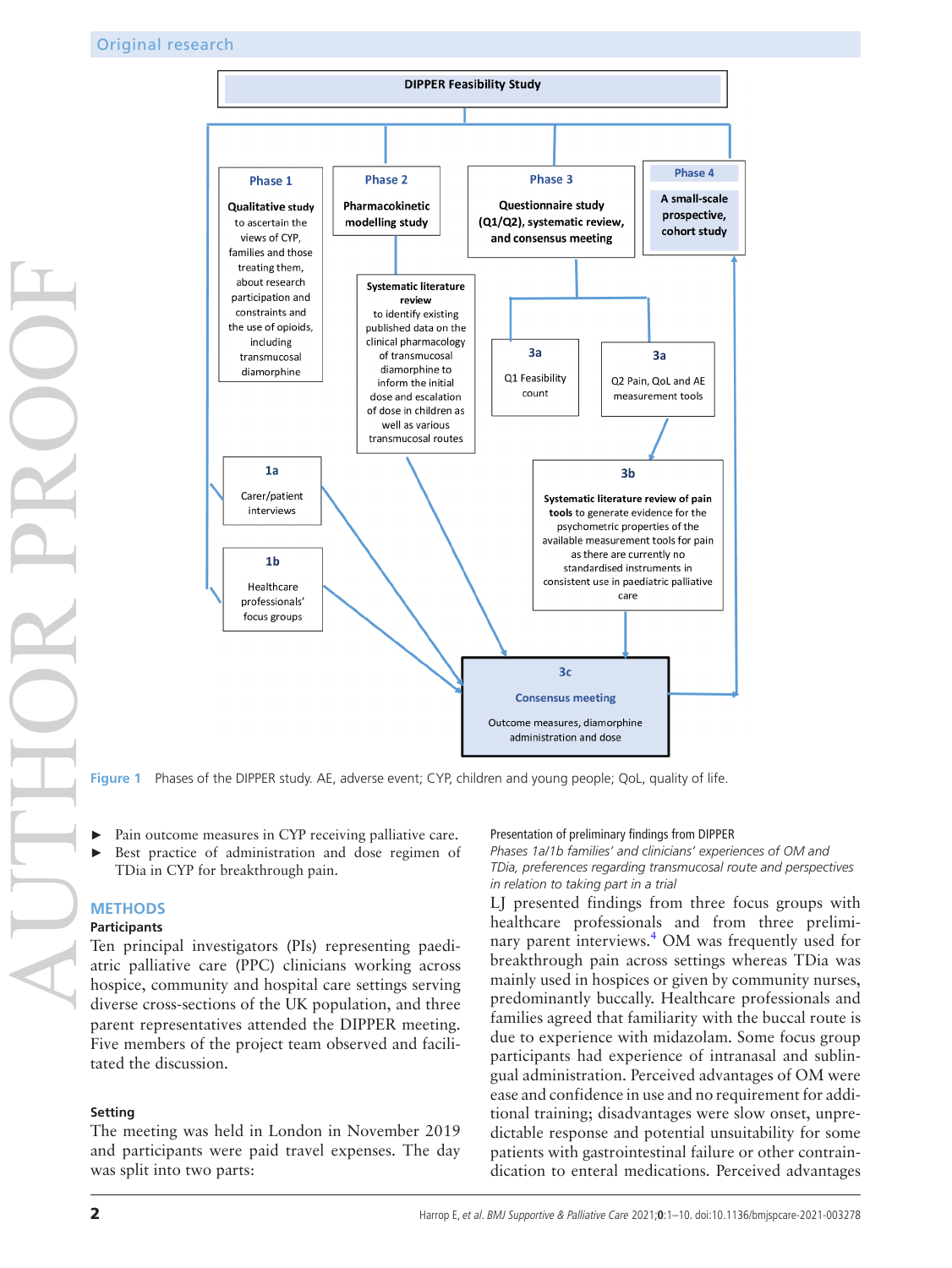

**Figure 1** Phases of the DIPPER study. AE, adverse event; CYP, children and young people; QoL, quality of life.

Pain outcome measures in CYP receiving palliative care. Best practice of administration and dose regimen of TDia in CYP for breakthrough pain.

#### **METHODS**

#### **Participants**

Ten principal investigators (PIs) representing paediatric palliative care (PPC) clinicians working across hospice, community and hospital care settings serving diverse cross-sections of the UK population, and three parent representatives attended the DIPPER meeting. Five members of the project team observed and facilitated the discussion.

#### **Setting**

The meeting was held in London in November 2019 and participants were paid travel expenses. The day was split into two parts:

#### <span id="page-1-0"></span>Presentation of preliminary findings from DIPPER

*Phases 1a/1b families' and clinicians' experiences of OM and TDia, preferences regarding transmucosal route and perspectives in relation to taking part in a trial*

LJ presented findings from three focus groups with healthcare professionals and from three preliminary parent interviews.<sup>4</sup> OM was frequently used for breakthrough pain across settings whereas TDia was mainly used in hospices or given by community nurses, predominantly buccally. Healthcare professionals and families agreed that familiarity with the buccal route is due to experience with midazolam. Some focus group participants had experience of intranasal and sublingual administration. Perceived advantages of OM were ease and confidence in use and no requirement for additional training; disadvantages were slow onset, unpredictable response and potential unsuitability for some patients with gastrointestinal failure or other contraindication to enteral medications. Perceived advantages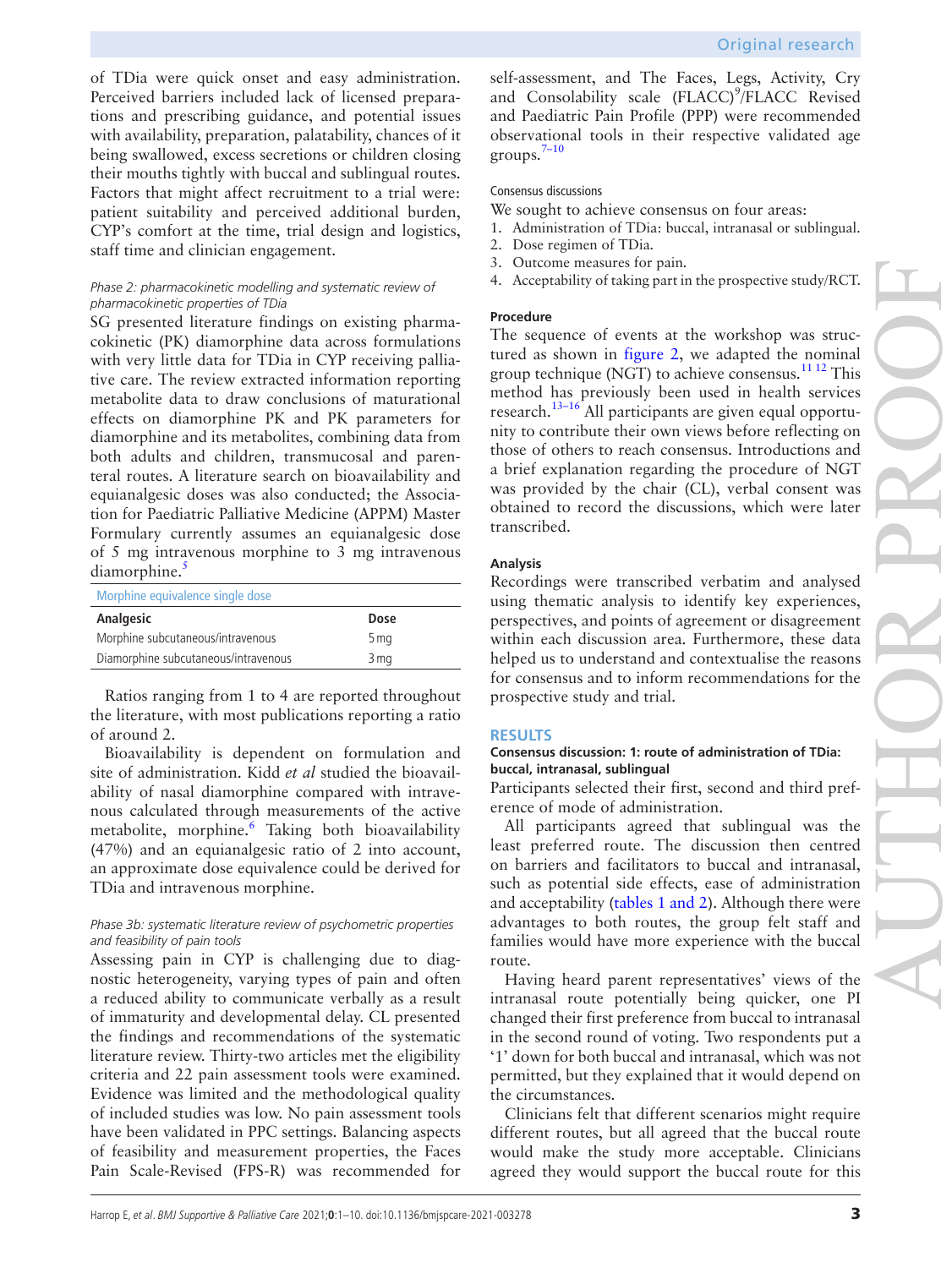of TDia were quick onset and easy administration. Perceived barriers included lack of licensed preparations and prescribing guidance, and potential issues with availability, preparation, palatability, chances of it being swallowed, excess secretions or children closing their mouths tightly with buccal and sublingual routes. Factors that might affect recruitment to a trial were: patient suitability and perceived additional burden, CYP's comfort at the time, trial design and logistics, staff time and clinician engagement.

## *Phase 2: pharmacokinetic modelling and systematic review of pharmacokinetic properties of TDia*

SG presented literature findings on existing pharmacokinetic (PK) diamorphine data across formulations with very little data for TDia in CYP receiving palliative care. The review extracted information reporting metabolite data to draw conclusions of maturational effects on diamorphine PK and PK parameters for diamorphine and its metabolites, combining data from both adults and children, transmucosal and parenteral routes. A literature search on bioavailability and equianalgesic doses was also conducted; the Association for Paediatric Palliative Medicine (APPM) Master Formulary currently assumes an equianalgesic dose of 5 mg intravenous morphine to 3 mg intravenous diamorphine.<sup>[5](#page-8-2)</sup>

| Dose |  |
|------|--|
| 5 mg |  |
| 3 mg |  |
|      |  |

Ratios ranging from 1 to 4 are reported throughout the literature, with most publications reporting a ratio of around 2.

Bioavailability is dependent on formulation and site of administration. Kidd *et al* studied the bioavailability of nasal diamorphine compared with intravenous calculated through measurements of the active metabolite, morphine.<sup>[6](#page-8-3)</sup> Taking both bioavailability (47%) and an equianalgesic ratio of 2 into account, an approximate dose equivalence could be derived for TDia and intravenous morphine.

## *Phase 3b: systematic literature review of psychometric properties and feasibility of pain tools*

Assessing pain in CYP is challenging due to diagnostic heterogeneity, varying types of pain and often a reduced ability to communicate verbally as a result of immaturity and developmental delay. CL presented the findings and recommendations of the systematic literature review. Thirty-two articles met the eligibility criteria and 22 pain assessment tools were examined. Evidence was limited and the methodological quality of included studies was low. No pain assessment tools have been validated in PPC settings. Balancing aspects of feasibility and measurement properties, the Faces Pain Scale-Revised (FPS-R) was recommended for

self-assessment, and The Faces, Legs, Activity, Cry and Consolability scale (FLACC)<sup>9</sup>/FLACC Revised and Paediatric Pain Profile (PPP) were recommended observational tools in their respective validated age  $groups.<sup>7-10</sup>$ 

# Consensus discussions

- We sought to achieve consensus on four areas:
- 1. Administration of TDia: buccal, intranasal or sublingual.
- 2. Dose regimen of TDia.
- 3. Outcome measures for pain.
- 4. Acceptability of taking part in the prospective study/RCT.

## **Procedure**

The sequence of events at the workshop was structured as shown in [figure](#page-3-0) 2, we adapted the nominal group technique (NGT) to achieve consensus.<sup>11 12</sup> This method has previously been used in health services research.[13–16](#page-9-0) All participants are given equal opportunity to contribute their own views before reflecting on those of others to reach consensus. Introductions and a brief explanation regarding the procedure of NGT was provided by the chair (CL), verbal consent was obtained to record the discussions, which were later transcribed.

## **Analysis**

Recordings were transcribed verbatim and analysed using thematic analysis to identify key experiences, perspectives, and points of agreement or disagreement within each discussion area. Furthermore, these data helped us to understand and contextualise the reasons for consensus and to inform recommendations for the prospective study and trial.

## **RESULTS**

## **Consensus discussion: 1: route of administration of TDia: buccal, intranasal, sublingual**

Participants selected their first, second and third preference of mode of administration.

All participants agreed that sublingual was the least preferred route. The discussion then centred on barriers and facilitators to buccal and intranasal, such as potential side effects, ease of administration and acceptability (tables [1 and 2\)](#page-3-1). Although there were advantages to both routes, the group felt staff and families would have more experience with the buccal route.

Having heard parent representatives' views of the intranasal route potentially being quicker, one PI changed their first preference from buccal to intranasal in the second round of voting. Two respondents put a '1' down for both buccal and intranasal, which was not permitted, but they explained that it would depend on the circumstances.

Clinicians felt that different scenarios might require different routes, but all agreed that the buccal route would make the study more acceptable. Clinicians agreed they would support the buccal route for this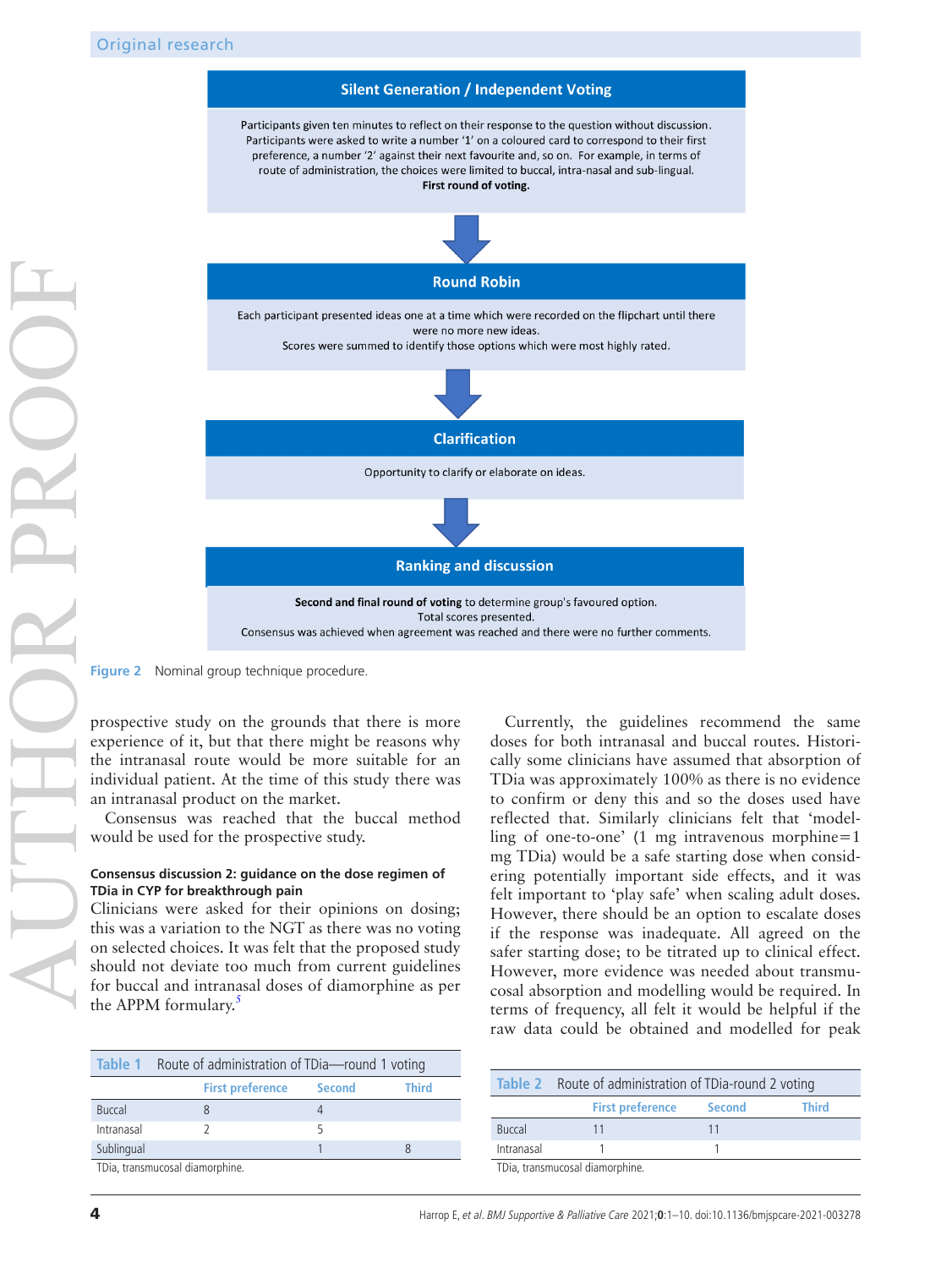

**Figure 2** Nominal group technique procedure.

prospective study on the grounds that there is more experience of it, but that there might be reasons why the intranasal route would be more suitable for an individual patient. At the time of this study there was an intranasal product on the market.

Consensus was reached that the buccal method would be used for the prospective study.

#### **Consensus discussion 2: guidance on the dose regimen of TDia in CYP for breakthrough pain**

Clinicians were asked for their opinions on dosing; this was a variation to the NGT as there was no voting on selected choices. It was felt that the proposed study should not deviate too much from current guidelines for buccal and intranasal doses of diamorphine as per the APPM formulary.<sup>[5](#page-8-2)</sup>

<span id="page-3-1"></span>

|                                 | Table 1 Route of administration of TDia-round 1 voting |               |              |
|---------------------------------|--------------------------------------------------------|---------------|--------------|
|                                 | <b>First preference</b>                                | <b>Second</b> | <b>Third</b> |
| <b>Buccal</b>                   |                                                        |               |              |
| Intranasal                      |                                                        |               |              |
| Sublingual                      |                                                        |               |              |
| TDia, transmucosal diamorphine. |                                                        |               |              |

<span id="page-3-0"></span>Currently, the guidelines recommend the same doses for both intranasal and buccal routes. Historically some clinicians have assumed that absorption of TDia was approximately 100% as there is no evidence to confirm or deny this and so the doses used have reflected that. Similarly clinicians felt that 'modelling of one-to-one' (1 mg intravenous morphine=1 mg TDia) would be a safe starting dose when considering potentially important side effects, and it was felt important to 'play safe' when scaling adult doses. However, there should be an option to escalate doses if the response was inadequate. All agreed on the safer starting dose; to be titrated up to clinical effect. However, more evidence was needed about transmucosal absorption and modelling would be required. In terms of frequency, all felt it would be helpful if the raw data could be obtained and modelled for peak

|                                 | Table 2 Route of administration of TDia-round 2 voting |               |       |
|---------------------------------|--------------------------------------------------------|---------------|-------|
|                                 | <b>First preference</b>                                | <b>Second</b> | Third |
| <b>Buccal</b>                   |                                                        |               |       |
| Intranasal                      |                                                        |               |       |
| TDia, transmucosal diamorphine. |                                                        |               |       |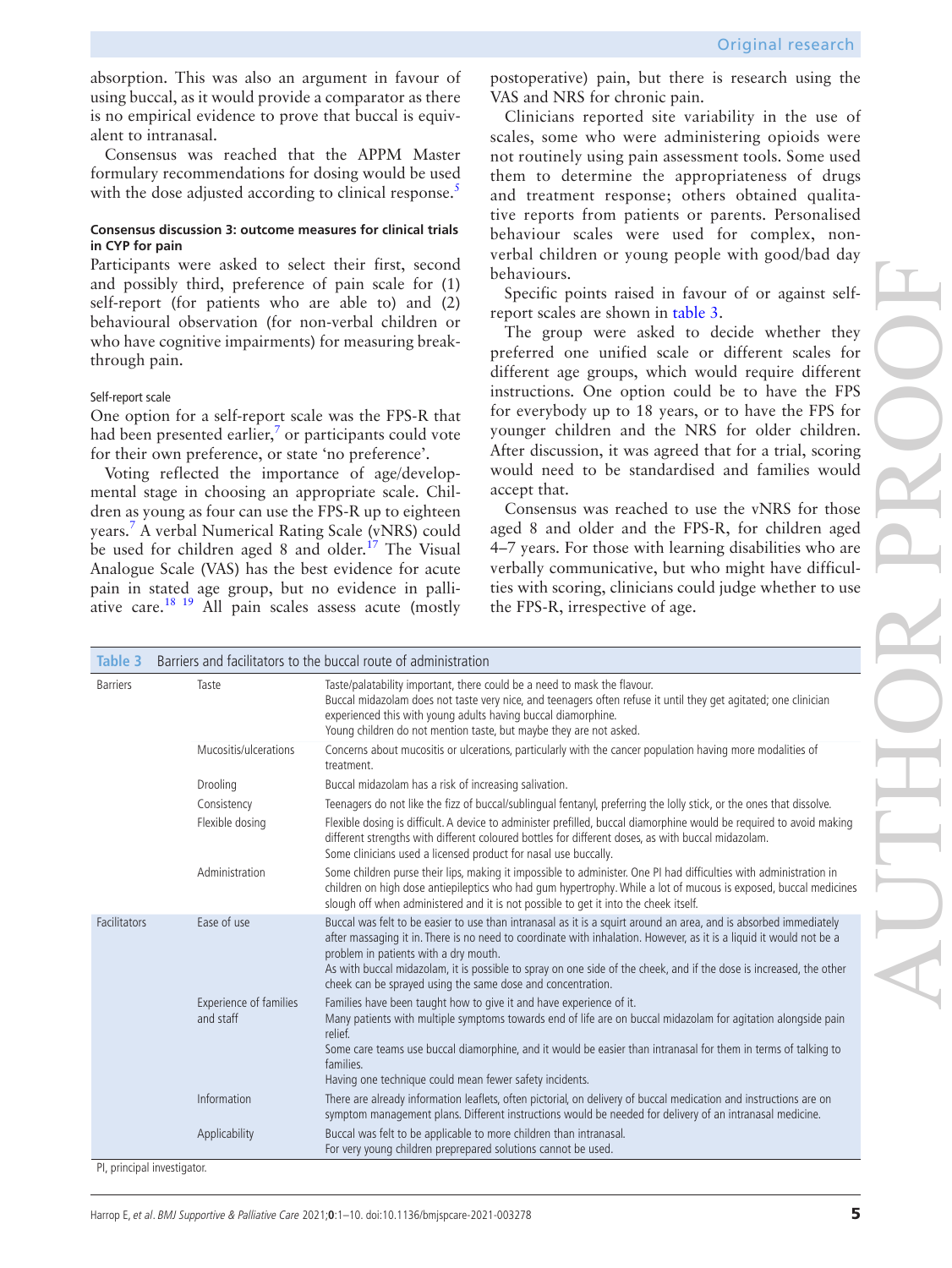absorption. This was also an argument in favour of using buccal, as it would provide a comparator as there is no empirical evidence to prove that buccal is equivalent to intranasal.

Consensus was reached that the APPM Master formulary recommendations for dosing would be used with the dose adjusted according to clinical response.<sup>5</sup>

#### **Consensus discussion 3: outcome measures for clinical trials in CYP for pain**

Participants were asked to select their first, second and possibly third, preference of pain scale for (1) self-report (for patients who are able to) and (2) behavioural observation (for non-verbal children or who have cognitive impairments) for measuring breakthrough pain.

#### Self-report scale

One option for a self-report scale was the FPS-R that had been presented earlier, $\frac{7}{7}$  $\frac{7}{7}$  $\frac{7}{7}$  or participants could vote for their own preference, or state 'no preference'.

Voting reflected the importance of age/developmental stage in choosing an appropriate scale. Children as young as four can use the FPS-R up to eighteen years[.7](#page-8-4) A verbal Numerical Rating Scale (vNRS) could be used for children aged 8 and older.<sup>17</sup> The Visual Analogue Scale (VAS) has the best evidence for acute pain in stated age group, but no evidence in palli-ative care.<sup>[18 19](#page-9-2)</sup> All pain scales assess acute (mostly

postoperative) pain, but there is research using the VAS and NRS for chronic pain.

Clinicians reported site variability in the use of scales, some who were administering opioids were not routinely using pain assessment tools. Some used them to determine the appropriateness of drugs and treatment response; others obtained qualitative reports from patients or parents. Personalised behaviour scales were used for complex, nonverbal children or young people with good/bad day behaviours.

Specific points raised in favour of or against selfreport scales are shown in [table](#page-4-0) 3.

The group were asked to decide whether they preferred one unified scale or different scales for different age groups, which would require different instructions. One option could be to have the FPS for everybody up to 18 years, or to have the FPS for younger children and the NRS for older children. After discussion, it was agreed that for a trial, scoring would need to be standardised and families would accept that.

Consensus was reached to use the vNRS for those aged 8 and older and the FPS-R, for children aged 4–7 years. For those with learning disabilities who are verbally communicative, but who might have difficulties with scoring, clinicians could judge whether to use the FPS-R, irrespective of age.

<span id="page-4-0"></span>

| Table 3                     | Barriers and facilitators to the buccal route of administration |                                                                                                                                                                                                                                                                                                                                                                                                                                                                         |  |
|-----------------------------|-----------------------------------------------------------------|-------------------------------------------------------------------------------------------------------------------------------------------------------------------------------------------------------------------------------------------------------------------------------------------------------------------------------------------------------------------------------------------------------------------------------------------------------------------------|--|
| <b>Barriers</b>             | Taste                                                           | Taste/palatability important, there could be a need to mask the flavour.<br>Buccal midazolam does not taste very nice, and teenagers often refuse it until they get agitated; one clinician<br>experienced this with young adults having buccal diamorphine.<br>Young children do not mention taste, but maybe they are not asked.                                                                                                                                      |  |
|                             | Mucositis/ulcerations                                           | Concerns about mucositis or ulcerations, particularly with the cancer population having more modalities of<br>treatment.                                                                                                                                                                                                                                                                                                                                                |  |
|                             | Drooling                                                        | Buccal midazolam has a risk of increasing salivation.                                                                                                                                                                                                                                                                                                                                                                                                                   |  |
|                             | Consistency                                                     | Teenagers do not like the fizz of buccal/sublingual fentanyl, preferring the lolly stick, or the ones that dissolve.                                                                                                                                                                                                                                                                                                                                                    |  |
|                             | Flexible dosing                                                 | Flexible dosing is difficult. A device to administer prefilled, buccal diamorphine would be required to avoid making<br>different strengths with different coloured bottles for different doses, as with buccal midazolam.<br>Some clinicians used a licensed product for nasal use buccally.                                                                                                                                                                           |  |
|                             | Administration                                                  | Some children purse their lips, making it impossible to administer. One PI had difficulties with administration in<br>children on high dose antiepileptics who had gum hypertrophy. While a lot of mucous is exposed, buccal medicines<br>slough off when administered and it is not possible to get it into the cheek itself.                                                                                                                                          |  |
| Facilitators                | Ease of use                                                     | Buccal was felt to be easier to use than intranasal as it is a squirt around an area, and is absorbed immediately<br>after massaging it in. There is no need to coordinate with inhalation. However, as it is a liquid it would not be a<br>problem in patients with a dry mouth.<br>As with buccal midazolam, it is possible to spray on one side of the cheek, and if the dose is increased, the other<br>cheek can be sprayed using the same dose and concentration. |  |
|                             | Experience of families<br>and staff                             | Families have been taught how to give it and have experience of it.<br>Many patients with multiple symptoms towards end of life are on buccal midazolam for agitation alongside pain<br>relief.                                                                                                                                                                                                                                                                         |  |
|                             |                                                                 | Some care teams use buccal diamorphine, and it would be easier than intranasal for them in terms of talking to<br>families.<br>Having one technique could mean fewer safety incidents.                                                                                                                                                                                                                                                                                  |  |
|                             | Information                                                     | There are already information leaflets, often pictorial, on delivery of buccal medication and instructions are on<br>symptom management plans. Different instructions would be needed for delivery of an intranasal medicine.                                                                                                                                                                                                                                           |  |
|                             | Applicability                                                   | Buccal was felt to be applicable to more children than intranasal.<br>For very young children preprepared solutions cannot be used.                                                                                                                                                                                                                                                                                                                                     |  |
| Pl. principal investigator. |                                                                 |                                                                                                                                                                                                                                                                                                                                                                                                                                                                         |  |

PI, principal investigator.

AUTHOR PROOF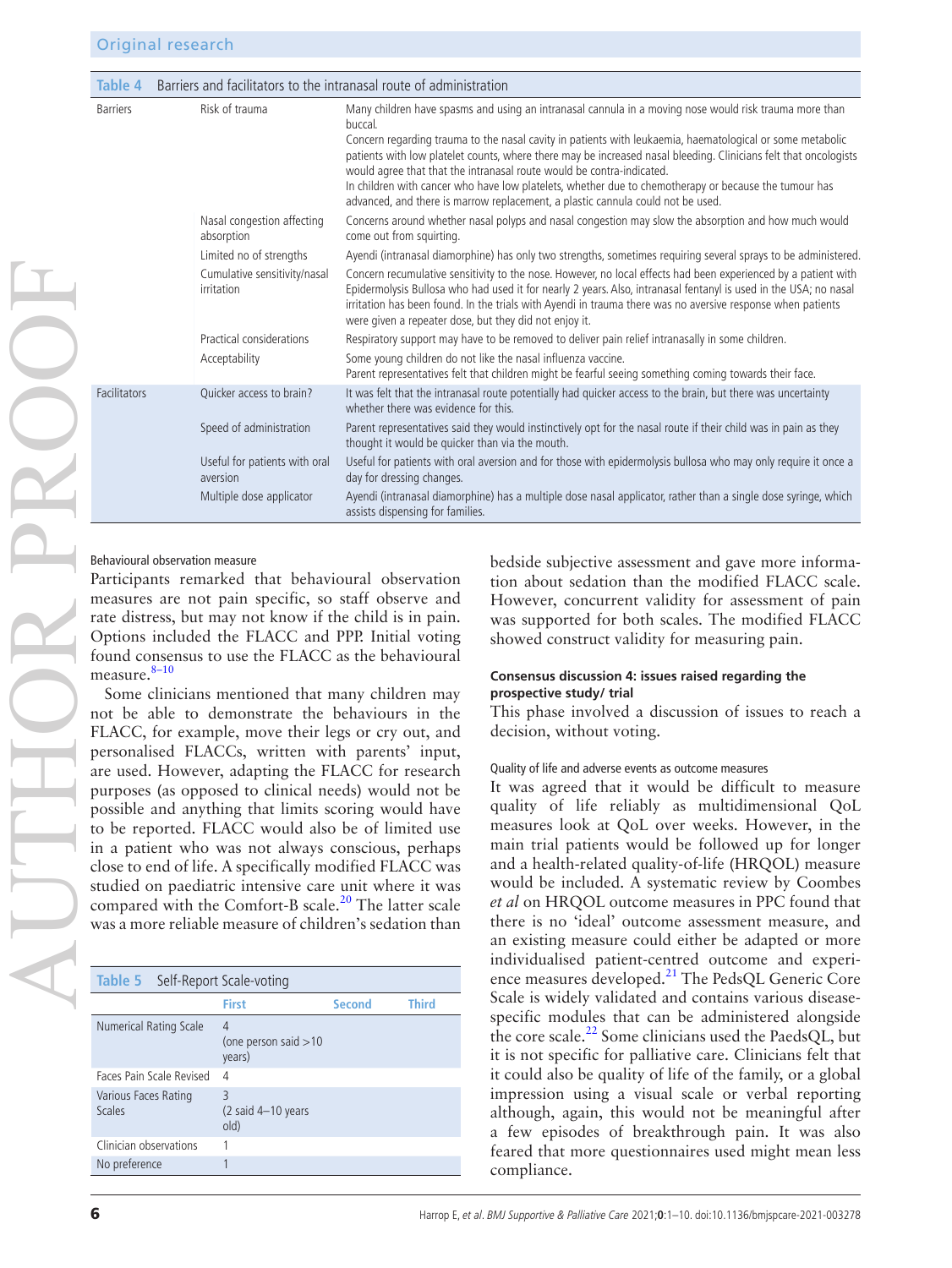| Table 4         | Barriers and facilitators to the intranasal route of administration |                                                                                                                                                                                                                                                                                                                                                                                                                                                                                                                                                                                                                         |  |  |  |
|-----------------|---------------------------------------------------------------------|-------------------------------------------------------------------------------------------------------------------------------------------------------------------------------------------------------------------------------------------------------------------------------------------------------------------------------------------------------------------------------------------------------------------------------------------------------------------------------------------------------------------------------------------------------------------------------------------------------------------------|--|--|--|
| <b>Barriers</b> | Risk of trauma                                                      | Many children have spasms and using an intranasal cannula in a moving nose would risk trauma more than<br>buccal.<br>Concern regarding trauma to the nasal cavity in patients with leukaemia, haematological or some metabolic<br>patients with low platelet counts, where there may be increased nasal bleeding. Clinicians felt that oncologists<br>would agree that that the intranasal route would be contra-indicated.<br>In children with cancer who have low platelets, whether due to chemotherapy or because the tumour has<br>advanced, and there is marrow replacement, a plastic cannula could not be used. |  |  |  |
|                 | Nasal congestion affecting<br>absorption                            | Concerns around whether nasal polyps and nasal congestion may slow the absorption and how much would<br>come out from squirting.                                                                                                                                                                                                                                                                                                                                                                                                                                                                                        |  |  |  |
|                 | Limited no of strengths                                             | Ayendi (intranasal diamorphine) has only two strengths, sometimes requiring several sprays to be administered.                                                                                                                                                                                                                                                                                                                                                                                                                                                                                                          |  |  |  |
|                 | Cumulative sensitivity/nasal<br>irritation                          | Concern recumulative sensitivity to the nose. However, no local effects had been experienced by a patient with<br>Epidermolysis Bullosa who had used it for nearly 2 years. Also, intranasal fentanyl is used in the USA; no nasal<br>irritation has been found. In the trials with Ayendi in trauma there was no aversive response when patients<br>were given a repeater dose, but they did not enjoy it.                                                                                                                                                                                                             |  |  |  |
|                 | Practical considerations                                            | Respiratory support may have to be removed to deliver pain relief intranasally in some children.                                                                                                                                                                                                                                                                                                                                                                                                                                                                                                                        |  |  |  |
|                 | Acceptability                                                       | Some young children do not like the nasal influenza vaccine.<br>Parent representatives felt that children might be fearful seeing something coming towards their face.                                                                                                                                                                                                                                                                                                                                                                                                                                                  |  |  |  |
| Facilitators    | Quicker access to brain?                                            | It was felt that the intranasal route potentially had quicker access to the brain, but there was uncertainty<br>whether there was evidence for this.                                                                                                                                                                                                                                                                                                                                                                                                                                                                    |  |  |  |
|                 | Speed of administration                                             | Parent representatives said they would instinctively opt for the nasal route if their child was in pain as they<br>thought it would be quicker than via the mouth.                                                                                                                                                                                                                                                                                                                                                                                                                                                      |  |  |  |
|                 | Useful for patients with oral<br>aversion                           | Useful for patients with oral aversion and for those with epidermolysis bullosa who may only require it once a<br>day for dressing changes.                                                                                                                                                                                                                                                                                                                                                                                                                                                                             |  |  |  |
|                 | Multiple dose applicator                                            | Ayendi (intranasal diamorphine) has a multiple dose nasal applicator, rather than a single dose syringe, which<br>assists dispensing for families.                                                                                                                                                                                                                                                                                                                                                                                                                                                                      |  |  |  |

#### Behavioural observation measure

Participants remarked that behavioural observation measures are not pain specific, so staff observe and rate distress, but may not know if the child is in pain. Options included the FLACC and PPP. Initial voting found consensus to use the FLACC as the behavioural measure. $8-10$ 

Some clinicians mentioned that many children may not be able to demonstrate the behaviours in the FLACC, for example, move their legs or cry out, and personalised FLACCs, written with parents' input, are used. However, adapting the FLACC for research purposes (as opposed to clinical needs) would not be possible and anything that limits scoring would have to be reported. FLACC would also be of limited use in a patient who was not always conscious, perhaps close to end of life. A specifically modified FLACC was studied on paediatric intensive care unit where it was compared with the Comfort-B scale.<sup>[20](#page-9-3)</sup> The latter scale was a more reliable measure of children's sedation than

| <b>Table 5</b> Self-Report Scale-voting |                                                     |               |       |
|-----------------------------------------|-----------------------------------------------------|---------------|-------|
|                                         | First                                               | <b>Second</b> | Third |
| Numerical Rating Scale                  | 4<br>(one person said $>10$<br>years)               |               |       |
| Faces Pain Scale Revised                | 4                                                   |               |       |
| Various Faces Rating<br>Scales          | 3<br>$(2 \text{ said } 4-10 \text{ years})$<br>old) |               |       |
| Clinician observations                  |                                                     |               |       |
| No preference                           |                                                     |               |       |

bedside subjective assessment and gave more information about sedation than the modified FLACC scale. However, concurrent validity for assessment of pain was supported for both scales. The modified FLACC showed construct validity for measuring pain.

#### **Consensus discussion 4: issues raised regarding the prospective study/ trial**

This phase involved a discussion of issues to reach a decision, without voting.

#### Quality of life and adverse events as outcome measures

It was agreed that it would be difficult to measure quality of life reliably as multidimensional QoL measures look at QoL over weeks. However, in the main trial patients would be followed up for longer and a health-related quality-of-life (HRQOL) measure would be included. A systematic review by Coombes *et al* on HRQOL outcome measures in PPC found that there is no 'ideal' outcome assessment measure, and an existing measure could either be adapted or more individualised patient-centred outcome and experi-ence measures developed.<sup>[21](#page-9-4)</sup> The PedsQL Generic Core Scale is widely validated and contains various diseasespecific modules that can be administered alongside the core scale. $^{22}$  $^{22}$  $^{22}$  Some clinicians used the PaedsQL, but it is not specific for palliative care. Clinicians felt that it could also be quality of life of the family, or a global impression using a visual scale or verbal reporting although, again, this would not be meaningful after a few episodes of breakthrough pain. It was also feared that more questionnaires used might mean less compliance.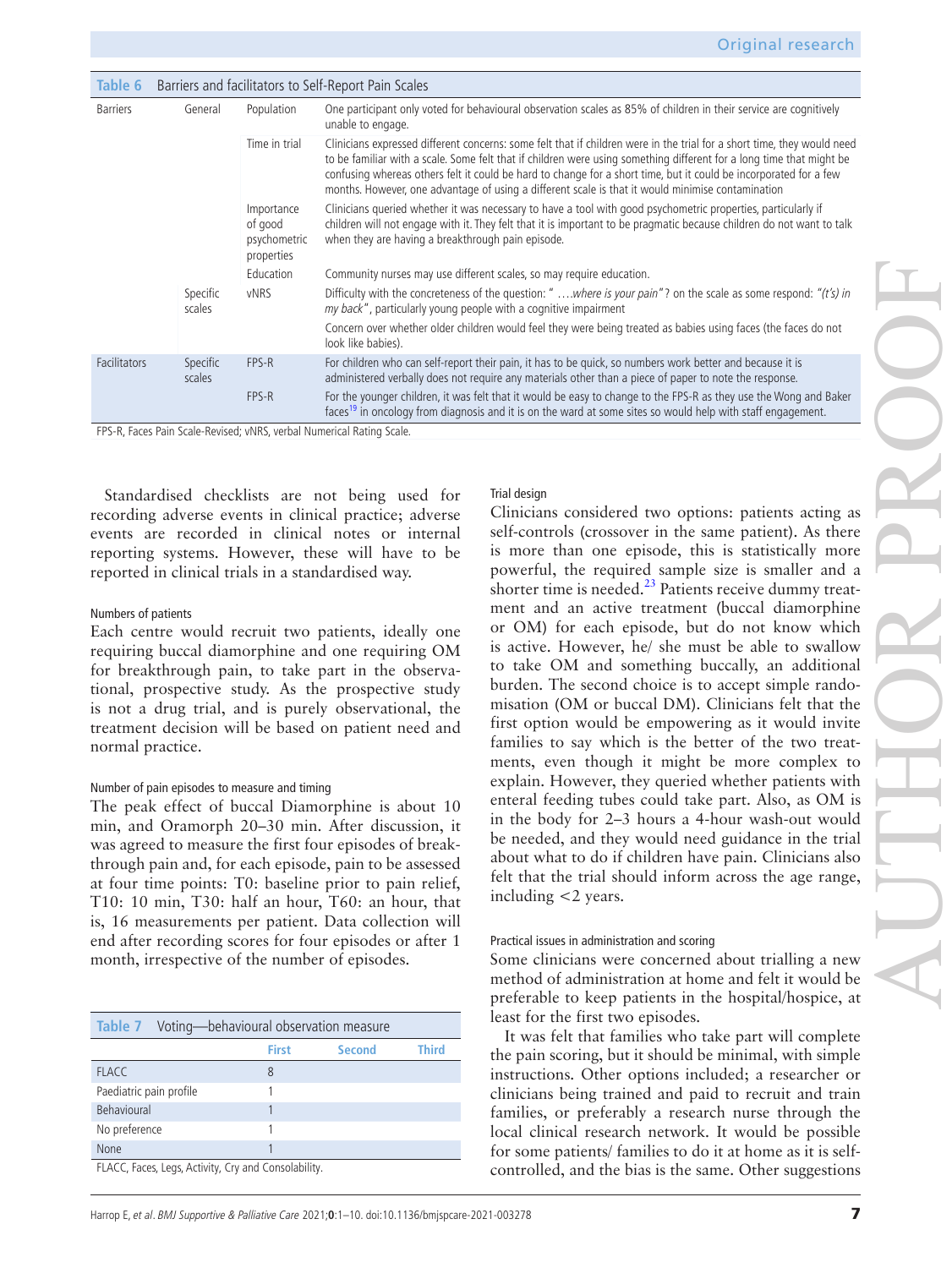| Table 6             | Barriers and facilitators to Self-Report Pain Scales |                                                     |                                                                                                                                                                                                                                                                                                                                                                                                                                                                           |  |
|---------------------|------------------------------------------------------|-----------------------------------------------------|---------------------------------------------------------------------------------------------------------------------------------------------------------------------------------------------------------------------------------------------------------------------------------------------------------------------------------------------------------------------------------------------------------------------------------------------------------------------------|--|
| <b>Barriers</b>     | General                                              | Population                                          | One participant only voted for behavioural observation scales as 85% of children in their service are cognitively<br>unable to engage.                                                                                                                                                                                                                                                                                                                                    |  |
|                     |                                                      | Time in trial                                       | Clinicians expressed different concerns: some felt that if children were in the trial for a short time, they would need<br>to be familiar with a scale. Some felt that if children were using something different for a long time that might be<br>confusing whereas others felt it could be hard to change for a short time, but it could be incorporated for a few<br>months. However, one advantage of using a different scale is that it would minimise contamination |  |
|                     |                                                      | Importance<br>of good<br>psychometric<br>properties | Clinicians queried whether it was necessary to have a tool with good psychometric properties, particularly if<br>children will not engage with it. They felt that it is important to be pragmatic because children do not want to talk<br>when they are having a breakthrough pain episode.                                                                                                                                                                               |  |
|                     |                                                      | Education                                           | Community nurses may use different scales, so may require education.                                                                                                                                                                                                                                                                                                                                                                                                      |  |
|                     | Specific<br>scales                                   | <b>vNRS</b>                                         | Difficulty with the concreteness of the question: " where is your pain"? on the scale as some respond: "(t's) in<br>my back", particularly young people with a cognitive impairment                                                                                                                                                                                                                                                                                       |  |
|                     |                                                      |                                                     | Concern over whether older children would feel they were being treated as babies using faces (the faces do not<br>look like babies).                                                                                                                                                                                                                                                                                                                                      |  |
| <b>Facilitators</b> | Specific<br>scales                                   | FPS-R                                               | For children who can self-report their pain, it has to be quick, so numbers work better and because it is<br>administered verbally does not require any materials other than a piece of paper to note the response.                                                                                                                                                                                                                                                       |  |
|                     |                                                      | FPS-R                                               | For the younger children, it was felt that it would be easy to change to the FPS-R as they use the Wong and Baker<br>faces <sup>19</sup> in oncology from diagnosis and it is on the ward at some sites so would help with staff engagement.                                                                                                                                                                                                                              |  |

FPS-R, Faces Pain Scale-Revised; vNRS, verbal Numerical Rating Scale.

Standardised checklists are not being used for recording adverse events in clinical practice; adverse events are recorded in clinical notes or internal reporting systems. However, these will have to be reported in clinical trials in a standardised way.

#### Numbers of patients

Each centre would recruit two patients, ideally one requiring buccal diamorphine and one requiring OM for breakthrough pain, to take part in the observational, prospective study. As the prospective study is not a drug trial, and is purely observational, the treatment decision will be based on patient need and normal practice.

#### Number of pain episodes to measure and timing

The peak effect of buccal Diamorphine is about 10 min, and Oramorph 20–30 min. After discussion, it was agreed to measure the first four episodes of breakthrough pain and, for each episode, pain to be assessed at four time points: T0: baseline prior to pain relief, T10: 10 min, T30: half an hour, T60: an hour, that is, 16 measurements per patient. Data collection will end after recording scores for four episodes or after 1 month, irrespective of the number of episodes.

| <b>Table 7</b> Voting—behavioural observation measure |              |        |              |
|-------------------------------------------------------|--------------|--------|--------------|
|                                                       | <b>First</b> | Second | <b>Third</b> |
| <b>FLACC</b>                                          | 8            |        |              |
| Paediatric pain profile                               |              |        |              |
| Behavioural                                           |              |        |              |
| No preference                                         |              |        |              |
| None                                                  |              |        |              |
| FLACC, Faces, Legs, Activity, Cry and Consolability.  |              |        |              |

Trial design

Clinicians considered two options: patients acting as self-controls (crossover in the same patient). As there is more than one episode, this is statistically more powerful, the required sample size is smaller and a shorter time is needed. $^{23}$  Patients receive dummy treatment and an active treatment (buccal diamorphine or OM) for each episode, but do not know which is active. However, he/ she must be able to swallow to take OM and something buccally, an additional burden. The second choice is to accept simple randomisation (OM or buccal DM). Clinicians felt that the first option would be empowering as it would invite families to say which is the better of the two treatments, even though it might be more complex to explain. However, they queried whether patients with enteral feeding tubes could take part. Also, as OM is in the body for 2–3 hours a 4-hour wash-out would be needed, and they would need guidance in the trial about what to do if children have pain. Clinicians also felt that the trial should inform across the age range, including <2 years.

#### Practical issues in administration and scoring

Some clinicians were concerned about trialling a new method of administration at home and felt it would be preferable to keep patients in the hospital/hospice, at least for the first two episodes.

It was felt that families who take part will complete the pain scoring, but it should be minimal, with simple instructions. Other options included; a researcher or clinicians being trained and paid to recruit and train families, or preferably a research nurse through the local clinical research network. It would be possible for some patients/ families to do it at home as it is selfcontrolled, and the bias is the same. Other suggestions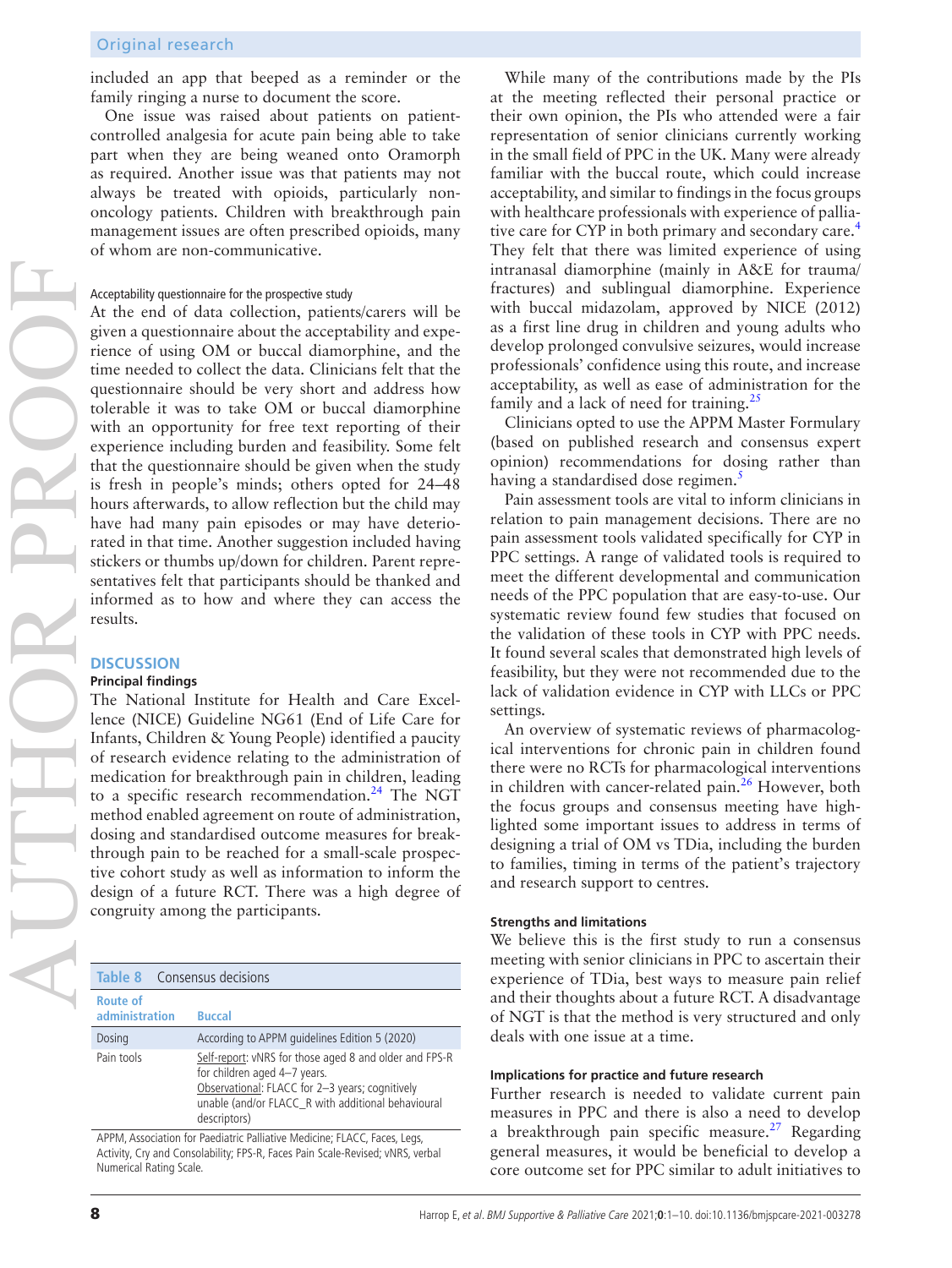included an app that beeped as a reminder or the family ringing a nurse to document the score.

One issue was raised about patients on patientcontrolled analgesia for acute pain being able to take part when they are being weaned onto Oramorph as required. Another issue was that patients may not always be treated with opioids, particularly nononcology patients. Children with breakthrough pain management issues are often prescribed opioids, many of whom are non-communicative.

#### Acceptability questionnaire for the prospective study

At the end of data collection, patients/carers will be given a questionnaire about the acceptability and experience of using OM or buccal diamorphine, and the time needed to collect the data. Clinicians felt that the questionnaire should be very short and address how tolerable it was to take OM or buccal diamorphine with an opportunity for free text reporting of their experience including burden and feasibility. Some felt that the questionnaire should be given when the study is fresh in people's minds; others opted for 24–48 hours afterwards, to allow reflection but the child may have had many pain episodes or may have deteriorated in that time. Another suggestion included having stickers or thumbs up/down for children. Parent representatives felt that participants should be thanked and informed as to how and where they can access the results.

## **DISCUSSION**

AUTHOR PROOF

#### **Principal findings**

The National Institute for Health and Care Excellence (NICE) Guideline NG61 (End of Life Care for Infants, Children & Young People) identified a paucity of research evidence relating to the administration of medication for breakthrough pain in children, leading to a specific research recommendation. $^{24}$  The NGT method enabled agreement on route of administration, dosing and standardised outcome measures for breakthrough pain to be reached for a small-scale prospective cohort study as well as information to inform the design of a future RCT. There was a high degree of congruity among the participants.

| <b>Table 8</b> Consensus decisions |                                                                                                                                                                                                                 |
|------------------------------------|-----------------------------------------------------------------------------------------------------------------------------------------------------------------------------------------------------------------|
| <b>Route of</b><br>administration  | <b>Buccal</b>                                                                                                                                                                                                   |
| Dosing                             | According to APPM guidelines Edition 5 (2020)                                                                                                                                                                   |
| Pain tools                         | Self-report: vNRS for those aged 8 and older and FPS-R<br>for children aged 4-7 years.<br>Observational: FLACC for 2-3 years; cognitively<br>unable (and/or FLACC_R with additional behavioural<br>descriptors) |

APPM, Association for Paediatric Palliative Medicine; FLACC, Faces, Legs, Activity, Cry and Consolability; FPS-R, Faces Pain Scale-Revised; vNRS, verbal Numerical Rating Scale.

While many of the contributions made by the PIs at the meeting reflected their personal practice or their own opinion, the PIs who attended were a fair representation of senior clinicians currently working in the small field of PPC in the UK. Many were already familiar with the buccal route, which could increase acceptability, and similar to findings in the focus groups with healthcare professionals with experience of palliative care for CYP in both primary and secondary care.<sup>4</sup> They felt that there was limited experience of using intranasal diamorphine (mainly in A&E for trauma/ fractures) and sublingual diamorphine. Experience with buccal midazolam, approved by NICE (2012) as a first line drug in children and young adults who develop prolonged convulsive seizures, would increase professionals' confidence using this route, and increase acceptability, as well as ease of administration for the family and a lack of need for training.<sup>25</sup>

Clinicians opted to use the APPM Master Formulary (based on published research and consensus expert opinion) recommendations for dosing rather than having a standardised dose regimen.<sup>[5](#page-8-2)</sup>

Pain assessment tools are vital to inform clinicians in relation to pain management decisions. There are no pain assessment tools validated specifically for CYP in PPC settings. A range of validated tools is required to meet the different developmental and communication needs of the PPC population that are easy-to-use. Our systematic review found few studies that focused on the validation of these tools in CYP with PPC needs. It found several scales that demonstrated high levels of feasibility, but they were not recommended due to the lack of validation evidence in CYP with LLCs or PPC settings.

An overview of systematic reviews of pharmacological interventions for chronic pain in children found there were no RCTs for pharmacological interventions in children with cancer-related pain.<sup>26</sup> However, both the focus groups and consensus meeting have highlighted some important issues to address in terms of designing a trial of OM vs TDia, including the burden to families, timing in terms of the patient's trajectory and research support to centres.

#### **Strengths and limitations**

We believe this is the first study to run a consensus meeting with senior clinicians in PPC to ascertain their experience of TDia, best ways to measure pain relief and their thoughts about a future RCT. A disadvantage of NGT is that the method is very structured and only deals with one issue at a time.

#### **Implications for practice and future research**

Further research is needed to validate current pain measures in PPC and there is also a need to develop a breakthrough pain specific measure.<sup>[27](#page-9-11)</sup> Regarding general measures, it would be beneficial to develop a core outcome set for PPC similar to adult initiatives to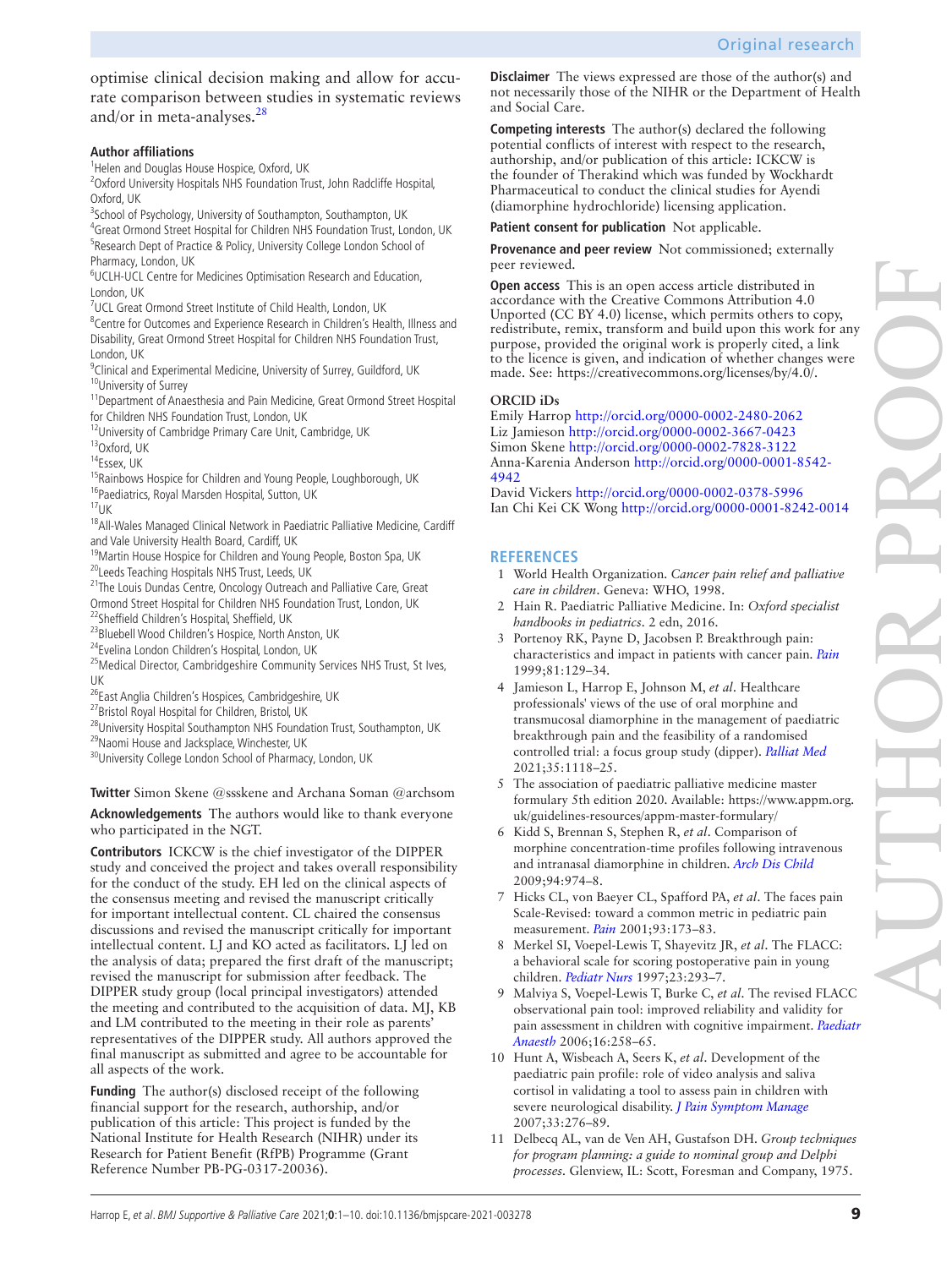optimise clinical decision making and allow for accurate comparison between studies in systematic reviews and/or in meta-analyses. $28$ 

## **Author affiliations**

<sup>1</sup>Helen and Douglas House Hospice, Oxford, UK

<sup>2</sup>Oxford University Hospitals NHS Foundation Trust, John Radcliffe Hospital, Oxford, UK

<sup>3</sup>School of Psychology, University of Southampton, Southampton, UK

<sup>4</sup>Great Ormond Street Hospital for Children NHS Foundation Trust, London, UK <sup>5</sup>Research Dept of Practice & Policy, University College London School of Pharmacy, London, UK

6 UCLH-UCL Centre for Medicines Optimisation Research and Education, London, UK

<sup>7</sup>UCL Great Ormond Street Institute of Child Health, London, UK

<sup>8</sup> Centre for Outcomes and Experience Research in Children's Health, Illness and Disability, Great Ormond Street Hospital for Children NHS Foundation Trust, London, UK

<sup>9</sup>Clinical and Experimental Medicine, University of Surrey, Guildford, UK 10University of Surrey

<sup>11</sup>Department of Anaesthesia and Pain Medicine, Great Ormond Street Hospital for Children NHS Foundation Trust, London, UK

<sup>12</sup>University of Cambridge Primary Care Unit, Cambridge, UK

13Oxford, UK

14Essex, UK

<sup>15</sup>Rainbows Hospice for Children and Young People, Loughborough, UK

<sup>16</sup>Paediatrics, Royal Marsden Hospital, Sutton, UK

 $17$ UK

<sup>18</sup> All-Wales Managed Clinical Network in Paediatric Palliative Medicine, Cardiff and Vale University Health Board, Cardiff, UK

<sup>19</sup>Martin House Hospice for Children and Young People, Boston Spa, UK <sup>20</sup>Leeds Teaching Hospitals NHS Trust, Leeds, UK

<sup>21</sup>The Louis Dundas Centre, Oncology Outreach and Palliative Care, Great Ormond Street Hospital for Children NHS Foundation Trust, London, UK <sup>22</sup>Sheffield Children's Hospital, Sheffield, UK

<sup>23</sup>Bluebell Wood Children's Hospice, North Anston, UK

24Evelina London Children's Hospital, London, UK

<sup>25</sup>Medical Director, Cambridgeshire Community Services NHS Trust, St Ives, UK

<sup>26</sup>East Anglia Children's Hospices, Cambridgeshire, UK

27Bristol Royal Hospital for Children, Bristol, UK

<sup>28</sup>University Hospital Southampton NHS Foundation Trust, Southampton, UK <sup>29</sup>Naomi House and Jacksplace, Winchester, UK

30University College London School of Pharmacy, London, UK

**Twitter** Simon Skene [@ssskene](https://twitter.com/ssskene) and Archana Soman [@archsom](https://twitter.com/archsom)

**Acknowledgements** The authors would like to thank everyone who participated in the NGT.

**Contributors** ICKCW is the chief investigator of the DIPPER study and conceived the project and takes overall responsibility for the conduct of the study. EH led on the clinical aspects of the consensus meeting and revised the manuscript critically for important intellectual content. CL chaired the consensus discussions and revised the manuscript critically for important intellectual content. LJ and KO acted as facilitators. LJ led on the analysis of data; prepared the first draft of the manuscript; revised the manuscript for submission after feedback. The DIPPER study group (local principal investigators) attended the meeting and contributed to the acquisition of data. MJ, KB and LM contributed to the meeting in their role as parents' representatives of the DIPPER study. All authors approved the final manuscript as submitted and agree to be accountable for all aspects of the work.

**Funding** The author(s) disclosed receipt of the following financial support for the research, authorship, and/or publication of this article: This project is funded by the National Institute for Health Research (NIHR) under its Research for Patient Benefit (RfPB) Programme (Grant Reference Number PB-PG-0317-20036).

**Disclaimer** The views expressed are those of the author(s) and not necessarily those of the NIHR or the Department of Health and Social Care.

**Competing interests** The author(s) declared the following potential conflicts of interest with respect to the research, authorship, and/or publication of this article: ICKCW is the founder of Therakind which was funded by Wockhardt Pharmaceutical to conduct the clinical studies for Ayendi (diamorphine hydrochloride) licensing application.

**Patient consent for publication** Not applicable.

**Provenance and peer review** Not commissioned; externally peer reviewed.

**Open access** This is an open access article distributed in accordance with the Creative Commons Attribution 4.0 Unported (CC BY 4.0) license, which permits others to copy, redistribute, remix, transform and build upon this work for any purpose, provided the original work is properly cited, a link to the licence is given, and indication of whether changes were made. See: [https://creativecommons.org/licenses/by/4.0/.](https://creativecommons.org/licenses/by/4.0/)

## **ORCID iDs**

Emily Harrop <http://orcid.org/0000-0002-2480-2062> Liz Jamieson <http://orcid.org/0000-0002-3667-0423> Simon Skene<http://orcid.org/0000-0002-7828-3122> Anna-Karenia Anderson [http://orcid.org/0000-0001-8542-](http://orcid.org/0000-0001-8542-4942) [4942](http://orcid.org/0000-0001-8542-4942)

David Vickers<http://orcid.org/0000-0002-0378-5996> Ian Chi Kei CK Wong <http://orcid.org/0000-0001-8242-0014>

# **REFERENCES**

- <span id="page-8-0"></span>1 World Health Organization. *Cancer pain relief and palliative care in children*. Geneva: WHO, 1998.
- 2 Hain R. Paediatric Palliative Medicine. In: *Oxford specialist handbooks in pediatrics*. 2 edn, 2016.
- 3 Portenoy RK, Payne D, Jacobsen P. Breakthrough pain: characteristics and impact in patients with cancer pain. *[Pain](http://dx.doi.org/10.1016/S0304-3959(99)00006-8)* 1999;81:129–34.
- <span id="page-8-1"></span>4 Jamieson L, Harrop E, Johnson M, *et al*. Healthcare professionals' views of the use of oral morphine and transmucosal diamorphine in the management of paediatric breakthrough pain and the feasibility of a randomised controlled trial: a focus group study (dipper). *[Palliat Med](http://dx.doi.org/10.1177/02692163211008737)* 2021;35:1118–25.
- <span id="page-8-2"></span>5 The association of paediatric palliative medicine master formulary 5th edition 2020. Available: [https://www.appm.org.](https://www.appm.org.uk/guidelines-resources/appm-master-formulary/) [uk/guidelines-resources/appm-master-formulary/](https://www.appm.org.uk/guidelines-resources/appm-master-formulary/)
- <span id="page-8-3"></span>6 Kidd S, Brennan S, Stephen R, *et al*. Comparison of morphine concentration-time profiles following intravenous and intranasal diamorphine in children. *[Arch Dis Child](http://dx.doi.org/10.1136/adc.2008.140194)* 2009;94:974–8.
- <span id="page-8-4"></span>7 Hicks CL, von Baeyer CL, Spafford PA, *et al*. The faces pain Scale-Revised: toward a common metric in pediatric pain measurement. *[Pain](http://dx.doi.org/10.1016/S0304-3959(01)00314-1)* 2001;93:173–83.
- <span id="page-8-6"></span>8 Merkel SI, Voepel-Lewis T, Shayevitz JR, *et al*. The FLACC: a behavioral scale for scoring postoperative pain in young children. *[Pediatr Nurs](http://www.ncbi.nlm.nih.gov/pubmed/9220806)* 1997;23:293–7.
- 9 Malviya S, Voepel-Lewis T, Burke C, *et al*. The revised FLACC observational pain tool: improved reliability and validity for pain assessment in children with cognitive impairment. *[Paediatr](http://dx.doi.org/10.1111/j.1460-9592.2005.01773.x)  [Anaesth](http://dx.doi.org/10.1111/j.1460-9592.2005.01773.x)* 2006;16:258–65.
- 10 Hunt A, Wisbeach A, Seers K, *et al*. Development of the paediatric pain profile: role of video analysis and saliva cortisol in validating a tool to assess pain in children with severe neurological disability. *[J Pain Symptom Manage](http://dx.doi.org/10.1016/j.jpainsymman.2006.08.011)* 2007;33:276–89.
- <span id="page-8-5"></span>11 Delbecq AL, van de Ven AH, Gustafson DH. *Group techniques for program planning: a guide to nominal group and Delphi processes*. Glenview, IL: Scott, Foresman and Company, 1975.